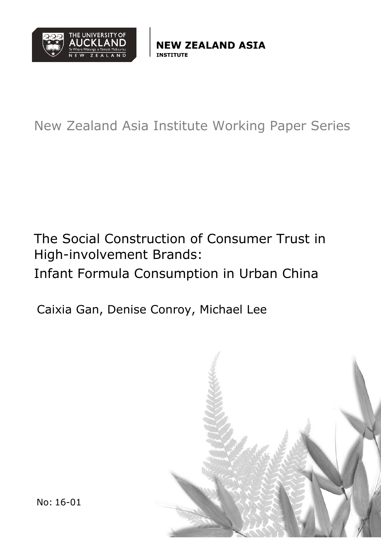

**ZEALAND ASIA** 

New Zealand Asia Institute Working Paper Series

The Social Construction of Consumer Trust in High-involvement Brands: Infant Formula Consumption in Urban China

Caixia Gan, Denise Conroy, Michael Lee



No: 16-01 Page **1** of **31**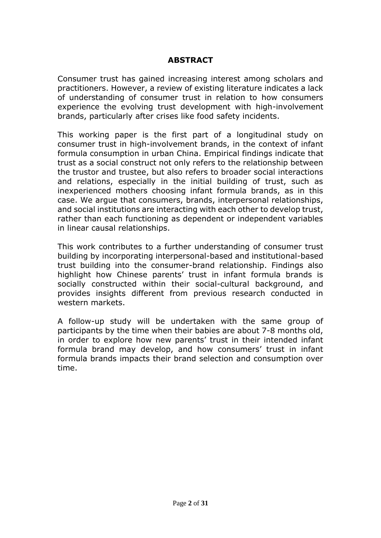## **ABSTRACT**

Consumer trust has gained increasing interest among scholars and practitioners. However, a review of existing literature indicates a lack of understanding of consumer trust in relation to how consumers experience the evolving trust development with high-involvement brands, particularly after crises like food safety incidents.

This working paper is the first part of a longitudinal study on consumer trust in high-involvement brands, in the context of infant formula consumption in urban China. Empirical findings indicate that trust as a social construct not only refers to the relationship between the trustor and trustee, but also refers to broader social interactions and relations, especially in the initial building of trust, such as inexperienced mothers choosing infant formula brands, as in this case. We argue that consumers, brands, interpersonal relationships, and social institutions are interacting with each other to develop trust, rather than each functioning as dependent or independent variables in linear causal relationships.

This work contributes to a further understanding of consumer trust building by incorporating interpersonal-based and institutional-based trust building into the consumer-brand relationship. Findings also highlight how Chinese parents' trust in infant formula brands is socially constructed within their social-cultural background, and provides insights different from previous research conducted in western markets.

A follow-up study will be undertaken with the same group of participants by the time when their babies are about 7-8 months old, in order to explore how new parents' trust in their intended infant formula brand may develop, and how consumers' trust in infant formula brands impacts their brand selection and consumption over time.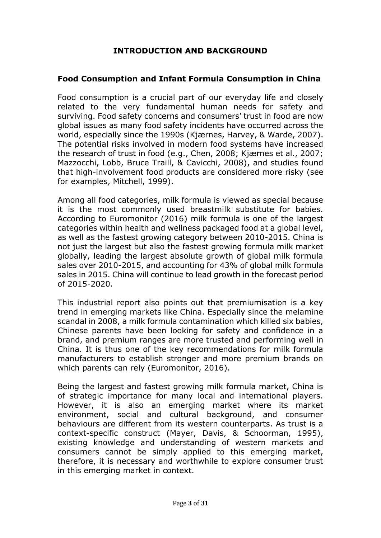## **INTRODUCTION AND BACKGROUND**

#### **Food Consumption and Infant Formula Consumption in China**

Food consumption is a crucial part of our everyday life and closely related to the very fundamental human needs for safety and surviving. Food safety concerns and consumers' trust in food are now global issues as many food safety incidents have occurred across the world, especially since the 1990s (Kjærnes, Harvey, & Warde, 2007). The potential risks involved in modern food systems have increased the research of trust in food (e.g., Chen, 2008; Kjærnes et al., 2007; Mazzocchi, Lobb, Bruce Traill, & Cavicchi, 2008), and studies found that high-involvement food products are considered more risky (see for examples, Mitchell, 1999).

Among all food categories, milk formula is viewed as special because it is the most commonly used breastmilk substitute for babies. According to Euromonitor (2016) milk formula is one of the largest categories within health and wellness packaged food at a global level, as well as the fastest growing category between 2010-2015. China is not just the largest but also the fastest growing formula milk market globally, leading the largest absolute growth of global milk formula sales over 2010-2015, and accounting for 43% of global milk formula sales in 2015. China will continue to lead growth in the forecast period of 2015-2020.

This industrial report also points out that premiumisation is a key trend in emerging markets like China. Especially since the melamine scandal in 2008, a milk formula contamination which killed six babies, Chinese parents have been looking for safety and confidence in a brand, and premium ranges are more trusted and performing well in China. It is thus one of the key recommendations for milk formula manufacturers to establish stronger and more premium brands on which parents can rely (Euromonitor, 2016).

Being the largest and fastest growing milk formula market, China is of strategic importance for many local and international players. However, it is also an emerging market where its market environment, social and cultural background, and consumer behaviours are different from its western counterparts. As trust is a context-specific construct (Mayer, Davis, & Schoorman, 1995), existing knowledge and understanding of western markets and consumers cannot be simply applied to this emerging market, therefore, it is necessary and worthwhile to explore consumer trust in this emerging market in context.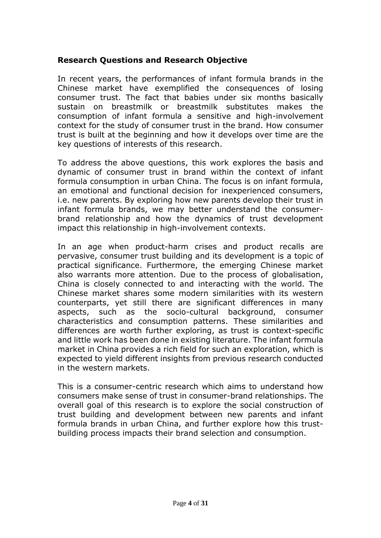## **Research Questions and Research Objective**

In recent years, the performances of infant formula brands in the Chinese market have exemplified the consequences of losing consumer trust. The fact that babies under six months basically sustain on breastmilk or breastmilk substitutes makes the consumption of infant formula a sensitive and high-involvement context for the study of consumer trust in the brand. How consumer trust is built at the beginning and how it develops over time are the key questions of interests of this research.

To address the above questions, this work explores the basis and dynamic of consumer trust in brand within the context of infant formula consumption in urban China. The focus is on infant formula, an emotional and functional decision for inexperienced consumers, i.e. new parents. By exploring how new parents develop their trust in infant formula brands, we may better understand the consumerbrand relationship and how the dynamics of trust development impact this relationship in high-involvement contexts.

In an age when product-harm crises and product recalls are pervasive, consumer trust building and its development is a topic of practical significance. Furthermore, the emerging Chinese market also warrants more attention. Due to the process of globalisation, China is closely connected to and interacting with the world. The Chinese market shares some modern similarities with its western counterparts, yet still there are significant differences in many aspects, such as the socio-cultural background, consumer characteristics and consumption patterns. These similarities and differences are worth further exploring, as trust is context-specific and little work has been done in existing literature. The infant formula market in China provides a rich field for such an exploration, which is expected to yield different insights from previous research conducted in the western markets.

This is a consumer-centric research which aims to understand how consumers make sense of trust in consumer-brand relationships. The overall goal of this research is to explore the social construction of trust building and development between new parents and infant formula brands in urban China, and further explore how this trustbuilding process impacts their brand selection and consumption.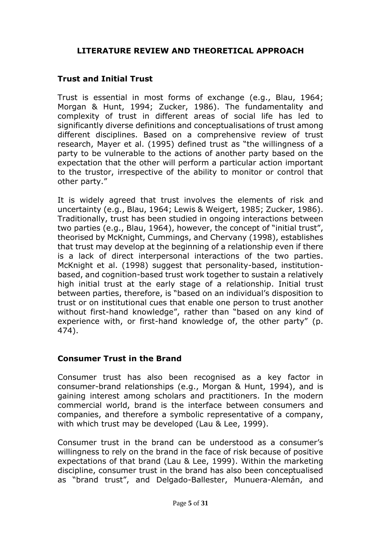## **LITERATURE REVIEW AND THEORETICAL APPROACH**

## **Trust and Initial Trust**

Trust is essential in most forms of exchange (e.g., Blau, 1964; Morgan & Hunt, 1994; Zucker, 1986). The fundamentality and complexity of trust in different areas of social life has led to significantly diverse definitions and conceptualisations of trust among different disciplines. Based on a comprehensive review of trust research, Mayer et al. (1995) defined trust as "the willingness of a party to be vulnerable to the actions of another party based on the expectation that the other will perform a particular action important to the trustor, irrespective of the ability to monitor or control that other party."

It is widely agreed that trust involves the elements of risk and uncertainty (e.g., Blau, 1964; Lewis & Weigert, 1985; Zucker, 1986). Traditionally, trust has been studied in ongoing interactions between two parties (e.g., Blau, 1964), however, the concept of "initial trust", theorised by McKnight, Cummings, and Chervany (1998), establishes that trust may develop at the beginning of a relationship even if there is a lack of direct interpersonal interactions of the two parties. McKnight et al. (1998) suggest that personality-based, institutionbased, and cognition-based trust work together to sustain a relatively high initial trust at the early stage of a relationship. Initial trust between parties, therefore, is "based on an individual's disposition to trust or on institutional cues that enable one person to trust another without first-hand knowledge", rather than "based on any kind of experience with, or first-hand knowledge of, the other party" (p. 474).

## **Consumer Trust in the Brand**

Consumer trust has also been recognised as a key factor in consumer-brand relationships (e.g., Morgan & Hunt, 1994), and is gaining interest among scholars and practitioners. In the modern commercial world, brand is the interface between consumers and companies, and therefore a symbolic representative of a company, with which trust may be developed (Lau & Lee, 1999).

Consumer trust in the brand can be understood as a consumer's willingness to rely on the brand in the face of risk because of positive expectations of that brand (Lau & Lee, 1999). Within the marketing discipline, consumer trust in the brand has also been conceptualised as "brand trust", and Delgado-Ballester, Munuera-Alemán, and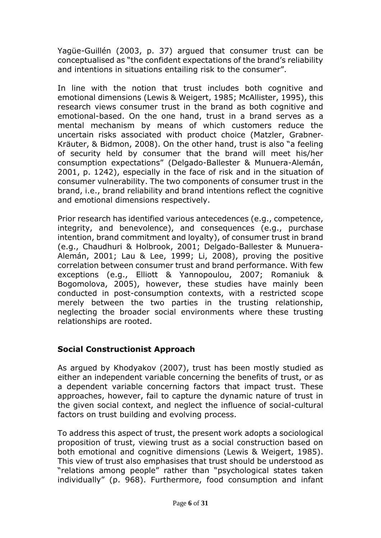Yagüe-Guillén (2003, p. 37) argued that consumer trust can be conceptualised as "the confident expectations of the brand's reliability and intentions in situations entailing risk to the consumer".

In line with the notion that trust includes both cognitive and emotional dimensions (Lewis & Weigert, 1985; McAllister, 1995), this research views consumer trust in the brand as both cognitive and emotional-based. On the one hand, trust in a brand serves as a mental mechanism by means of which customers reduce the uncertain risks associated with product choice (Matzler, Grabner‐ Kräuter, & Bidmon, 2008). On the other hand, trust is also "a feeling of security held by consumer that the brand will meet his/her consumption expectations" (Delgado-Ballester & Munuera-Alemán, 2001, p. 1242), especially in the face of risk and in the situation of consumer vulnerability. The two components of consumer trust in the brand, i.e., brand reliability and brand intentions reflect the cognitive and emotional dimensions respectively.

Prior research has identified various antecedences (e.g., competence, integrity, and benevolence), and consequences (e.g., purchase intention, brand commitment and loyalty), of consumer trust in brand (e.g., Chaudhuri & Holbrook, 2001; Delgado-Ballester & Munuera-Alemán, 2001; Lau & Lee, 1999; Li, 2008), proving the positive correlation between consumer trust and brand performance. With few exceptions (e.g., Elliott & Yannopoulou, 2007; Romaniuk & Bogomolova, 2005), however, these studies have mainly been conducted in post-consumption contexts, with a restricted scope merely between the two parties in the trusting relationship, neglecting the broader social environments where these trusting relationships are rooted.

# **Social Constructionist Approach**

As argued by Khodyakov (2007), trust has been mostly studied as either an independent variable concerning the benefits of trust, or as a dependent variable concerning factors that impact trust. These approaches, however, fail to capture the dynamic nature of trust in the given social context, and neglect the influence of social-cultural factors on trust building and evolving process.

To address this aspect of trust, the present work adopts a sociological proposition of trust, viewing trust as a social construction based on both emotional and cognitive dimensions (Lewis & Weigert, 1985). This view of trust also emphasises that trust should be understood as "relations among people" rather than "psychological states taken individually" (p. 968). Furthermore, food consumption and infant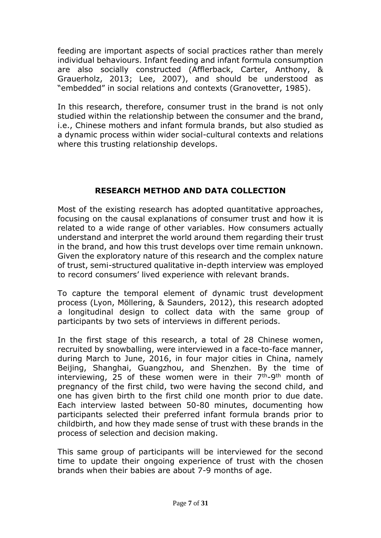feeding are important aspects of social practices rather than merely individual behaviours. Infant feeding and infant formula consumption are also socially constructed (Afflerback, Carter, Anthony, & Grauerholz, 2013; Lee, 2007), and should be understood as "embedded" in social relations and contexts (Granovetter, 1985).

In this research, therefore, consumer trust in the brand is not only studied within the relationship between the consumer and the brand, i.e., Chinese mothers and infant formula brands, but also studied as a dynamic process within wider social-cultural contexts and relations where this trusting relationship develops.

## **RESEARCH METHOD AND DATA COLLECTION**

Most of the existing research has adopted quantitative approaches, focusing on the causal explanations of consumer trust and how it is related to a wide range of other variables. How consumers actually understand and interpret the world around them regarding their trust in the brand, and how this trust develops over time remain unknown. Given the exploratory nature of this research and the complex nature of trust, semi-structured qualitative in-depth interview was employed to record consumers' lived experience with relevant brands.

To capture the temporal element of dynamic trust development process (Lyon, Möllering, & Saunders, 2012), this research adopted a longitudinal design to collect data with the same group of participants by two sets of interviews in different periods.

In the first stage of this research, a total of 28 Chinese women, recruited by snowballing, were interviewed in a face-to-face manner, during March to June, 2016, in four major cities in China, namely Beijing, Shanghai, Guangzhou, and Shenzhen. By the time of interviewing, 25 of these women were in their  $7<sup>th</sup>-9<sup>th</sup>$  month of pregnancy of the first child, two were having the second child, and one has given birth to the first child one month prior to due date. Each interview lasted between 50-80 minutes, documenting how participants selected their preferred infant formula brands prior to childbirth, and how they made sense of trust with these brands in the process of selection and decision making.

This same group of participants will be interviewed for the second time to update their ongoing experience of trust with the chosen brands when their babies are about 7-9 months of age.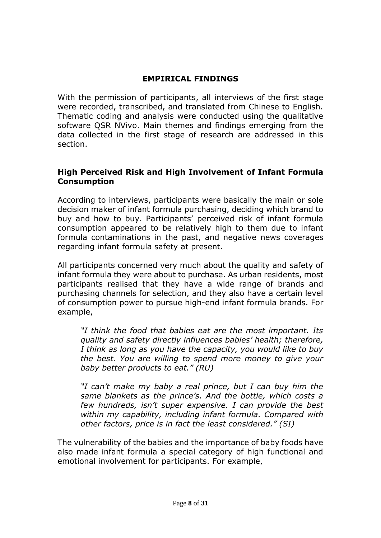## **EMPIRICAL FINDINGS**

With the permission of participants, all interviews of the first stage were recorded, transcribed, and translated from Chinese to English. Thematic coding and analysis were conducted using the qualitative software OSR NVivo. Main themes and findings emerging from the data collected in the first stage of research are addressed in this section.

## **High Perceived Risk and High Involvement of Infant Formula Consumption**

According to interviews, participants were basically the main or sole decision maker of infant formula purchasing, deciding which brand to buy and how to buy. Participants' perceived risk of infant formula consumption appeared to be relatively high to them due to infant formula contaminations in the past, and negative news coverages regarding infant formula safety at present.

All participants concerned very much about the quality and safety of infant formula they were about to purchase. As urban residents, most participants realised that they have a wide range of brands and purchasing channels for selection, and they also have a certain level of consumption power to pursue high-end infant formula brands. For example,

*"I think the food that babies eat are the most important. Its quality and safety directly influences babies' health; therefore, I think as long as you have the capacity, you would like to buy the best. You are willing to spend more money to give your baby better products to eat." (RU)*

*"I can't make my baby a real prince, but I can buy him the same blankets as the prince's. And the bottle, which costs a few hundreds, isn't super expensive. I can provide the best within my capability, including infant formula. Compared with other factors, price is in fact the least considered." (SI)*

The vulnerability of the babies and the importance of baby foods have also made infant formula a special category of high functional and emotional involvement for participants. For example,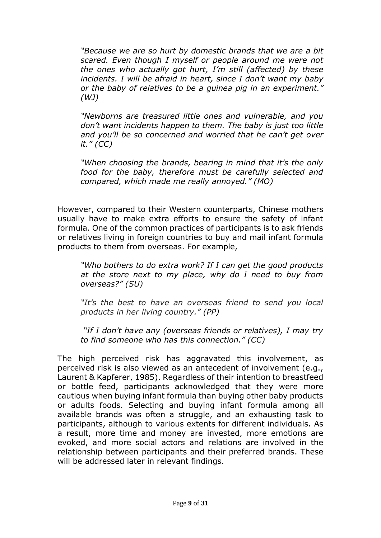*"Because we are so hurt by domestic brands that we are a bit scared. Even though I myself or people around me were not the ones who actually got hurt, I'm still (affected) by these incidents. I will be afraid in heart, since I don't want my baby or the baby of relatives to be a guinea pig in an experiment." (WJ)*

*"Newborns are treasured little ones and vulnerable, and you don't want incidents happen to them. The baby is just too little and you'll be so concerned and worried that he can't get over it." (CC)*

*"When choosing the brands, bearing in mind that it's the only food for the baby, therefore must be carefully selected and compared, which made me really annoyed." (MO)*

However, compared to their Western counterparts, Chinese mothers usually have to make extra efforts to ensure the safety of infant formula. One of the common practices of participants is to ask friends or relatives living in foreign countries to buy and mail infant formula products to them from overseas. For example,

*"Who bothers to do extra work? If I can get the good products at the store next to my place, why do I need to buy from overseas?" (SU)*

*"It's the best to have an overseas friend to send you local products in her living country." (PP)*

*"If I don't have any (overseas friends or relatives), I may try to find someone who has this connection." (CC)*

The high perceived risk has aggravated this involvement, as perceived risk is also viewed as an antecedent of involvement (e.g., Laurent & Kapferer, 1985). Regardless of their intention to breastfeed or bottle feed, participants acknowledged that they were more cautious when buying infant formula than buying other baby products or adults foods. Selecting and buying infant formula among all available brands was often a struggle, and an exhausting task to participants, although to various extents for different individuals. As a result, more time and money are invested, more emotions are evoked, and more social actors and relations are involved in the relationship between participants and their preferred brands. These will be addressed later in relevant findings.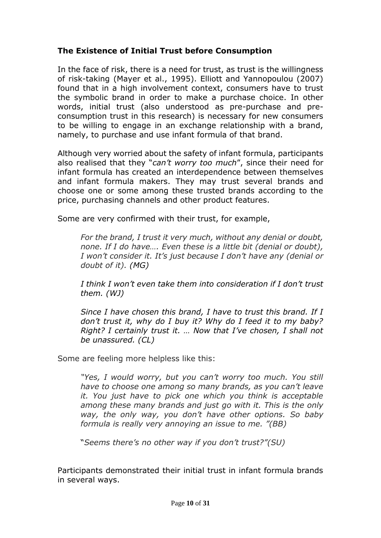## **The Existence of Initial Trust before Consumption**

In the face of risk, there is a need for trust, as trust is the willingness of risk-taking (Mayer et al., 1995). Elliott and Yannopoulou (2007) found that in a high involvement context, consumers have to trust the symbolic brand in order to make a purchase choice. In other words, initial trust (also understood as pre-purchase and preconsumption trust in this research) is necessary for new consumers to be willing to engage in an exchange relationship with a brand, namely, to purchase and use infant formula of that brand.

Although very worried about the safety of infant formula, participants also realised that they "*can't worry too much*", since their need for infant formula has created an interdependence between themselves and infant formula makers. They may trust several brands and choose one or some among these trusted brands according to the price, purchasing channels and other product features.

Some are very confirmed with their trust, for example,

*For the brand, I trust it very much, without any denial or doubt, none. If I do have…. Even these is a little bit (denial or doubt), I won't consider it. It's just because I don't have any (denial or doubt of it). (MG)*

*I think I won't even take them into consideration if I don't trust them. (WJ)*

*Since I have chosen this brand, I have to trust this brand. If I don't trust it, why do I buy it? Why do I feed it to my baby? Right? I certainly trust it. … Now that I've chosen, I shall not be unassured. (CL)*

Some are feeling more helpless like this:

*"Yes, I would worry, but you can't worry too much. You still have to choose one among so many brands, as you can't leave it. You just have to pick one which you think is acceptable among these many brands and just go with it. This is the only way, the only way, you don't have other options. So baby formula is really very annoying an issue to me. "(BB)*

"*Seems there's no other way if you don't trust?"(SU)*

Participants demonstrated their initial trust in infant formula brands in several ways.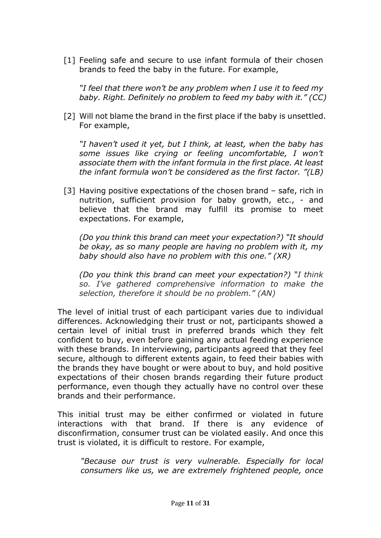[1] Feeling safe and secure to use infant formula of their chosen brands to feed the baby in the future. For example,

*"I feel that there won't be any problem when I use it to feed my baby. Right. Definitely no problem to feed my baby with it." (CC)*

[2] Will not blame the brand in the first place if the baby is unsettled. For example,

*"I haven't used it yet, but I think, at least, when the baby has some issues like crying or feeling uncomfortable, I won't associate them with the infant formula in the first place. At least the infant formula won't be considered as the first factor. "(LB)*

[3] Having positive expectations of the chosen brand – safe, rich in nutrition, sufficient provision for baby growth, etc., - and believe that the brand may fulfill its promise to meet expectations. For example,

*(Do you think this brand can meet your expectation?) "It should be okay, as so many people are having no problem with it, my baby should also have no problem with this one." (XR)*

*(Do you think this brand can meet your expectation?) "I think so. I've gathered comprehensive information to make the selection, therefore it should be no problem." (AN)*

The level of initial trust of each participant varies due to individual differences. Acknowledging their trust or not, participants showed a certain level of initial trust in preferred brands which they felt confident to buy, even before gaining any actual feeding experience with these brands. In interviewing, participants agreed that they feel secure, although to different extents again, to feed their babies with the brands they have bought or were about to buy, and hold positive expectations of their chosen brands regarding their future product performance, even though they actually have no control over these brands and their performance.

This initial trust may be either confirmed or violated in future interactions with that brand. If there is any evidence of disconfirmation, consumer trust can be violated easily. And once this trust is violated, it is difficult to restore. For example,

*"Because our trust is very vulnerable. Especially for local consumers like us, we are extremely frightened people, once*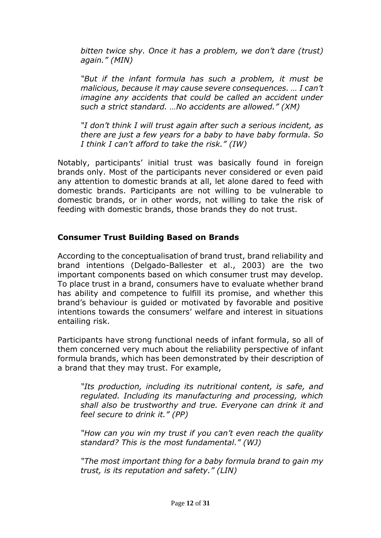*bitten twice shy. Once it has a problem, we don't dare (trust) again." (MIN)*

*"But if the infant formula has such a problem, it must be malicious, because it may cause severe consequences. … I can't imagine any accidents that could be called an accident under such a strict standard. …No accidents are allowed." (XM)*

*"I don't think I will trust again after such a serious incident, as there are just a few years for a baby to have baby formula. So I think I can't afford to take the risk." (IW)*

Notably, participants' initial trust was basically found in foreign brands only. Most of the participants never considered or even paid any attention to domestic brands at all, let alone dared to feed with domestic brands. Participants are not willing to be vulnerable to domestic brands, or in other words, not willing to take the risk of feeding with domestic brands, those brands they do not trust.

## **Consumer Trust Building Based on Brands**

According to the conceptualisation of brand trust, brand reliability and brand intentions (Delgado-Ballester et al., 2003) are the two important components based on which consumer trust may develop. To place trust in a brand, consumers have to evaluate whether brand has ability and competence to fulfill its promise, and whether this brand's behaviour is guided or motivated by favorable and positive intentions towards the consumers' welfare and interest in situations entailing risk.

Participants have strong functional needs of infant formula, so all of them concerned very much about the reliability perspective of infant formula brands, which has been demonstrated by their description of a brand that they may trust. For example,

*"Its production, including its nutritional content, is safe, and regulated. Including its manufacturing and processing, which shall also be trustworthy and true. Everyone can drink it and feel secure to drink it." (PP)*

*"How can you win my trust if you can't even reach the quality standard? This is the most fundamental." (WJ)*

*"The most important thing for a baby formula brand to gain my trust, is its reputation and safety." (LIN)*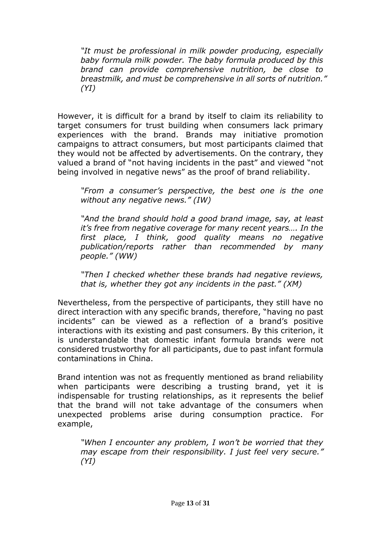*"It must be professional in milk powder producing, especially baby formula milk powder. The baby formula produced by this brand can provide comprehensive nutrition, be close to breastmilk, and must be comprehensive in all sorts of nutrition." (YI)*

However, it is difficult for a brand by itself to claim its reliability to target consumers for trust building when consumers lack primary experiences with the brand. Brands may initiative promotion campaigns to attract consumers, but most participants claimed that they would not be affected by advertisements. On the contrary, they valued a brand of "not having incidents in the past" and viewed "not being involved in negative news" as the proof of brand reliability.

*"From a consumer's perspective, the best one is the one without any negative news." (IW)*

*"And the brand should hold a good brand image, say, at least it's free from negative coverage for many recent years…. In the first place, I think, good quality means no negative publication/reports rather than recommended by many people." (WW)*

*"Then I checked whether these brands had negative reviews, that is, whether they got any incidents in the past." (XM)*

Nevertheless, from the perspective of participants, they still have no direct interaction with any specific brands, therefore, "having no past incidents" can be viewed as a reflection of a brand's positive interactions with its existing and past consumers. By this criterion, it is understandable that domestic infant formula brands were not considered trustworthy for all participants, due to past infant formula contaminations in China.

Brand intention was not as frequently mentioned as brand reliability when participants were describing a trusting brand, yet it is indispensable for trusting relationships, as it represents the belief that the brand will not take advantage of the consumers when unexpected problems arise during consumption practice. For example,

*"When I encounter any problem, I won't be worried that they may escape from their responsibility. I just feel very secure." (YI)*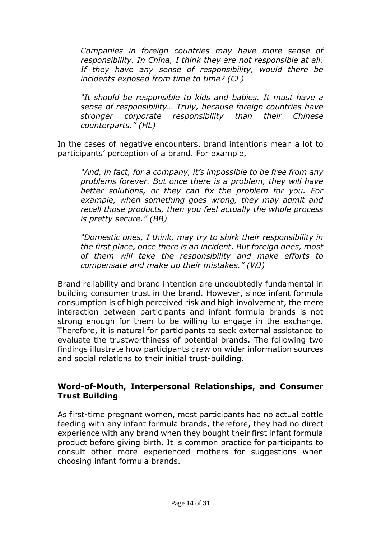*Companies in foreign countries may have more sense of responsibility. In China, I think they are not responsible at all. If they have any sense of responsibility, would there be incidents exposed from time to time? (CL)*

*"It should be responsible to kids and babies. It must have a sense of responsibility… Truly, because foreign countries have stronger corporate responsibility than their Chinese counterparts." (HL)*

In the cases of negative encounters, brand intentions mean a lot to participants' perception of a brand. For example,

*"And, in fact, for a company, it's impossible to be free from any problems forever. But once there is a problem, they will have better solutions, or they can fix the problem for you. For example, when something goes wrong, they may admit and recall those products, then you feel actually the whole process is pretty secure." (BB)*

*"Domestic ones, I think, may try to shirk their responsibility in the first place, once there is an incident. But foreign ones, most of them will take the responsibility and make efforts to compensate and make up their mistakes." (WJ)*

Brand reliability and brand intention are undoubtedly fundamental in building consumer trust in the brand. However, since infant formula consumption is of high perceived risk and high involvement, the mere interaction between participants and infant formula brands is not strong enough for them to be willing to engage in the exchange. Therefore, it is natural for participants to seek external assistance to evaluate the trustworthiness of potential brands. The following two findings illustrate how participants draw on wider information sources and social relations to their initial trust-building.

## **Word-of-Mouth, Interpersonal Relationships, and Consumer Trust Building**

As first-time pregnant women, most participants had no actual bottle feeding with any infant formula brands, therefore, they had no direct experience with any brand when they bought their first infant formula product before giving birth. It is common practice for participants to consult other more experienced mothers for suggestions when choosing infant formula brands.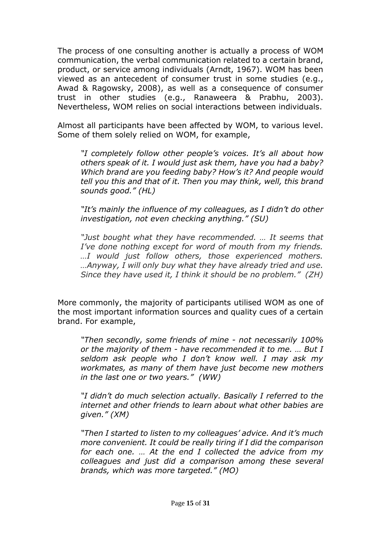The process of one consulting another is actually a process of WOM communication, the verbal communication related to a certain brand, product, or service among individuals (Arndt, 1967). WOM has been viewed as an antecedent of consumer trust in some studies (e.g., Awad & Ragowsky, 2008), as well as a consequence of consumer trust in other studies (e.g., Ranaweera & Prabhu, 2003). Nevertheless, WOM relies on social interactions between individuals.

Almost all participants have been affected by WOM, to various level. Some of them solely relied on WOM, for example,

*"I completely follow other people's voices. It's all about how others speak of it. I would just ask them, have you had a baby? Which brand are you feeding baby? How's it? And people would tell you this and that of it. Then you may think, well, this brand sounds good." (HL)*

*"It's mainly the influence of my colleagues, as I didn't do other investigation, not even checking anything." (SU)*

*"Just bought what they have recommended. … It seems that I've done nothing except for word of mouth from my friends. …I would just follow others, those experienced mothers. …Anyway, I will only buy what they have already tried and use. Since they have used it, I think it should be no problem." (ZH)*

More commonly, the majority of participants utilised WOM as one of the most important information sources and quality cues of a certain brand. For example,

*"Then secondly, some friends of mine - not necessarily 100% or the majority of them - have recommended it to me. … But I seldom ask people who I don't know well. I may ask my workmates, as many of them have just become new mothers in the last one or two years." (WW)*

*"I didn't do much selection actually. Basically I referred to the internet and other friends to learn about what other babies are given." (XM)*

*"Then I started to listen to my colleagues' advice. And it's much more convenient. It could be really tiring if I did the comparison for each one. … At the end I collected the advice from my colleagues and just did a comparison among these several brands, which was more targeted." (MO)*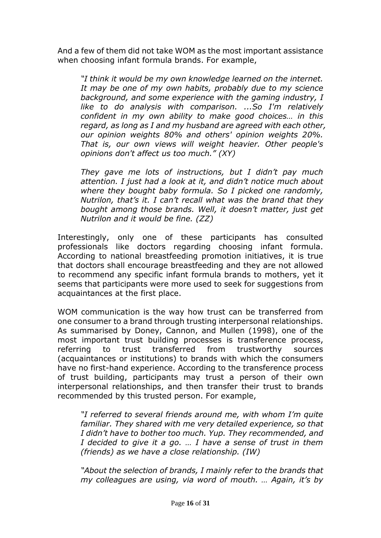And a few of them did not take WOM as the most important assistance when choosing infant formula brands. For example,

*"I think it would be my own knowledge learned on the internet. It may be one of my own habits, probably due to my science background, and some experience with the gaming industry, I like to do analysis with comparison. ...So I'm relatively confident in my own ability to make good choices… in this regard, as long as I and my husband are agreed with each other, our opinion weights 80% and others' opinion weights 20%. That is, our own views will weight heavier. Other people's opinions don't affect us too much." (XY)*

*They gave me lots of instructions, but I didn't pay much attention. I just had a look at it, and didn't notice much about where they bought baby formula. So I picked one randomly, Nutrilon, that's it. I can't recall what was the brand that they bought among those brands. Well, it doesn't matter, just get Nutrilon and it would be fine. (ZZ)*

Interestingly, only one of these participants has consulted professionals like doctors regarding choosing infant formula. According to national breastfeeding promotion initiatives, it is true that doctors shall encourage breastfeeding and they are not allowed to recommend any specific infant formula brands to mothers, yet it seems that participants were more used to seek for suggestions from acquaintances at the first place.

WOM communication is the way how trust can be transferred from one consumer to a brand through trusting interpersonal relationships. As summarised by Doney, Cannon, and Mullen (1998), one of the most important trust building processes is transference process, referring to trust transferred from trustworthy sources (acquaintances or institutions) to brands with which the consumers have no first-hand experience. According to the transference process of trust building, participants may trust a person of their own interpersonal relationships, and then transfer their trust to brands recommended by this trusted person. For example,

*"I referred to several friends around me, with whom I'm quite familiar. They shared with me very detailed experience, so that I didn't have to bother too much. Yup. They recommended, and I decided to give it a go. … I have a sense of trust in them (friends) as we have a close relationship. (IW)*

*"About the selection of brands, I mainly refer to the brands that my colleagues are using, via word of mouth. … Again, it's by*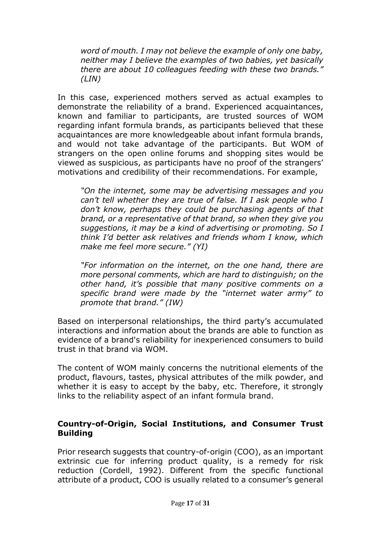*word of mouth. I may not believe the example of only one baby, neither may I believe the examples of two babies, yet basically there are about 10 colleagues feeding with these two brands." (LIN)*

In this case, experienced mothers served as actual examples to demonstrate the reliability of a brand. Experienced acquaintances, known and familiar to participants, are trusted sources of WOM regarding infant formula brands, as participants believed that these acquaintances are more knowledgeable about infant formula brands, and would not take advantage of the participants. But WOM of strangers on the open online forums and shopping sites would be viewed as suspicious, as participants have no proof of the strangers' motivations and credibility of their recommendations. For example,

*"On the internet, some may be advertising messages and you can't tell whether they are true of false. If I ask people who I don't know, perhaps they could be purchasing agents of that brand, or a representative of that brand, so when they give you suggestions, it may be a kind of advertising or promoting. So I think I'd better ask relatives and friends whom I know, which make me feel more secure." (YI)*

*"For information on the internet, on the one hand, there are more personal comments, which are hard to distinguish; on the other hand, it's possible that many positive comments on a specific brand were made by the "internet water army" to promote that brand." (IW)*

Based on interpersonal relationships, the third party's accumulated interactions and information about the brands are able to function as evidence of a brand's reliability for inexperienced consumers to build trust in that brand via WOM.

The content of WOM mainly concerns the nutritional elements of the product, flavours, tastes, physical attributes of the milk powder, and whether it is easy to accept by the baby, etc. Therefore, it strongly links to the reliability aspect of an infant formula brand.

## **Country-of-Origin, Social Institutions, and Consumer Trust Building**

Prior research suggests that country-of-origin (COO), as an important extrinsic cue for inferring product quality, is a remedy for risk reduction (Cordell, 1992). Different from the specific functional attribute of a product, COO is usually related to a consumer's general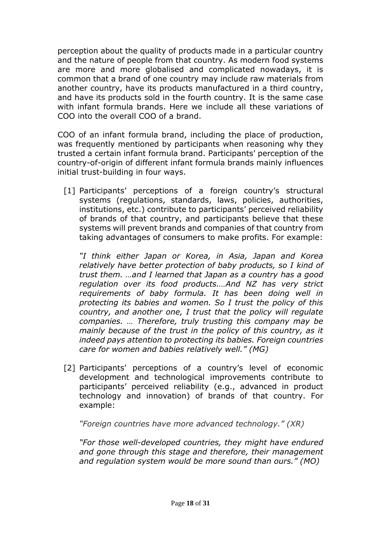perception about the quality of products made in a particular country and the nature of people from that country. As modern food systems are more and more globalised and complicated nowadays, it is common that a brand of one country may include raw materials from another country, have its products manufactured in a third country, and have its products sold in the fourth country. It is the same case with infant formula brands. Here we include all these variations of COO into the overall COO of a brand.

COO of an infant formula brand, including the place of production, was frequently mentioned by participants when reasoning why they trusted a certain infant formula brand. Participants' perception of the country-of-origin of different infant formula brands mainly influences initial trust-building in four ways.

[1] Participants' perceptions of a foreign country's structural systems (regulations, standards, laws, policies, authorities, institutions, etc.) contribute to participants' perceived reliability of brands of that country, and participants believe that these systems will prevent brands and companies of that country from taking advantages of consumers to make profits. For example:

*"I think either Japan or Korea, in Asia, Japan and Korea relatively have better protection of baby products, so I kind of trust them. …and I learned that Japan as a country has a good regulation over its food products.…And NZ has very strict requirements of baby formula. It has been doing well in protecting its babies and women. So I trust the policy of this country, and another one, I trust that the policy will regulate companies. … Therefore, truly trusting this company may be mainly because of the trust in the policy of this country, as it indeed pays attention to protecting its babies. Foreign countries care for women and babies relatively well." (MG)*

[2] Participants' perceptions of a country's level of economic development and technological improvements contribute to participants' perceived reliability (e.g., advanced in product technology and innovation) of brands of that country. For example:

*"Foreign countries have more advanced technology." (XR)*

*"For those well-developed countries, they might have endured and gone through this stage and therefore, their management and regulation system would be more sound than ours." (MO)*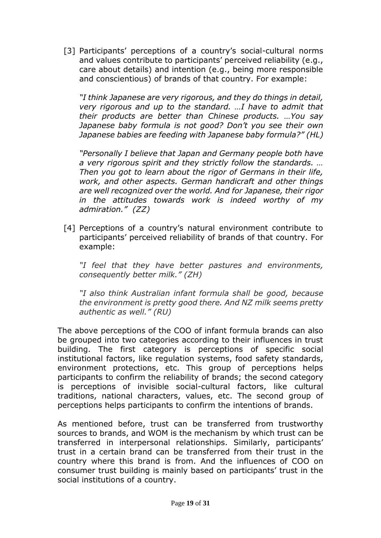[3] Participants' perceptions of a country's social-cultural norms and values contribute to participants' perceived reliability (e.g., care about details) and intention (e.g., being more responsible and conscientious) of brands of that country. For example:

*"I think Japanese are very rigorous, and they do things in detail, very rigorous and up to the standard. …I have to admit that their products are better than Chinese products. …You say Japanese baby formula is not good? Don't you see their own Japanese babies are feeding with Japanese baby formula?" (HL)*

*"Personally I believe that Japan and Germany people both have a very rigorous spirit and they strictly follow the standards. … Then you got to learn about the rigor of Germans in their life, work, and other aspects. German handicraft and other things are well recognized over the world. And for Japanese, their rigor in the attitudes towards work is indeed worthy of my admiration." (ZZ)*

[4] Perceptions of a country's natural environment contribute to participants' perceived reliability of brands of that country. For example:

*"I feel that they have better pastures and environments, consequently better milk." (ZH)*

*"I also think Australian infant formula shall be good, because the environment is pretty good there. And NZ milk seems pretty authentic as well." (RU)*

The above perceptions of the COO of infant formula brands can also be grouped into two categories according to their influences in trust building. The first category is perceptions of specific social institutional factors, like regulation systems, food safety standards, environment protections, etc. This group of perceptions helps participants to confirm the reliability of brands; the second category is perceptions of invisible social-cultural factors, like cultural traditions, national characters, values, etc. The second group of perceptions helps participants to confirm the intentions of brands.

As mentioned before, trust can be transferred from trustworthy sources to brands, and WOM is the mechanism by which trust can be transferred in interpersonal relationships. Similarly, participants' trust in a certain brand can be transferred from their trust in the country where this brand is from. And the influences of COO on consumer trust building is mainly based on participants' trust in the social institutions of a country.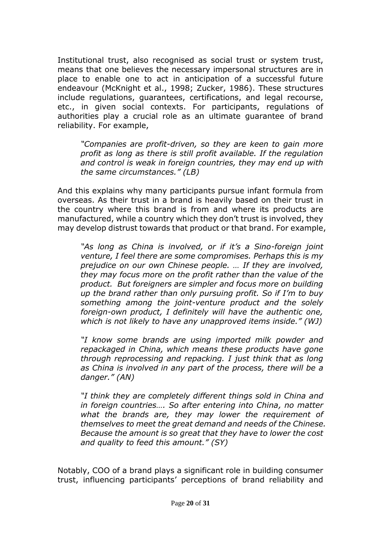Institutional trust, also recognised as social trust or system trust, means that one believes the necessary impersonal structures are in place to enable one to act in anticipation of a successful future endeavour (McKnight et al., 1998; Zucker, 1986). These structures include regulations, guarantees, certifications, and legal recourse, etc., in given social contexts. For participants, regulations of authorities play a crucial role as an ultimate guarantee of brand reliability. For example,

*"Companies are profit-driven, so they are keen to gain more profit as long as there is still profit available. If the regulation and control is weak in foreign countries, they may end up with the same circumstances." (LB)*

And this explains why many participants pursue infant formula from overseas. As their trust in a brand is heavily based on their trust in the country where this brand is from and where its products are manufactured, while a country which they don't trust is involved, they may develop distrust towards that product or that brand. For example,

*"As long as China is involved, or if it's a Sino-foreign joint venture, I feel there are some compromises. Perhaps this is my prejudice on our own Chinese people. … If they are involved, they may focus more on the profit rather than the value of the product. But foreigners are simpler and focus more on building up the brand rather than only pursuing profit. So if I'm to buy something among the joint-venture product and the solely foreign-own product, I definitely will have the authentic one, which is not likely to have any unapproved items inside." (WJ)*

*"I know some brands are using imported milk powder and repackaged in China, which means these products have gone through reprocessing and repacking. I just think that as long as China is involved in any part of the process, there will be a danger." (AN)*

*"I think they are completely different things sold in China and in foreign countries…. So after entering into China, no matter what the brands are, they may lower the requirement of themselves to meet the great demand and needs of the Chinese. Because the amount is so great that they have to lower the cost and quality to feed this amount." (SY)*

Notably, COO of a brand plays a significant role in building consumer trust, influencing participants' perceptions of brand reliability and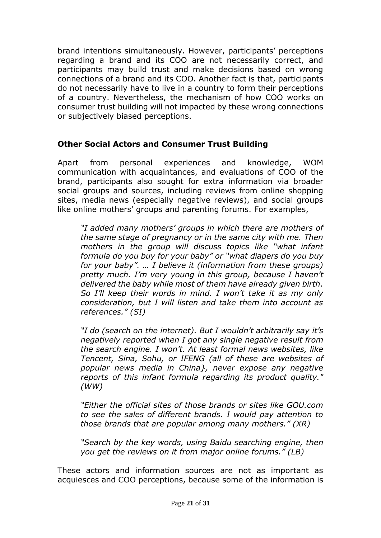brand intentions simultaneously. However, participants' perceptions regarding a brand and its COO are not necessarily correct, and participants may build trust and make decisions based on wrong connections of a brand and its COO. Another fact is that, participants do not necessarily have to live in a country to form their perceptions of a country. Nevertheless, the mechanism of how COO works on consumer trust building will not impacted by these wrong connections or subjectively biased perceptions.

## **Other Social Actors and Consumer Trust Building**

Apart from personal experiences and knowledge, WOM communication with acquaintances, and evaluations of COO of the brand, participants also sought for extra information via broader social groups and sources, including reviews from online shopping sites, media news (especially negative reviews), and social groups like online mothers' groups and parenting forums. For examples,

*"I added many mothers' groups in which there are mothers of the same stage of pregnancy or in the same city with me. Then*  mothers in the group will discuss topics like "what infant" *formula do you buy for your baby" or "what diapers do you buy for your baby". … I believe it (information from these groups) pretty much. I'm very young in this group, because I haven't delivered the baby while most of them have already given birth. So I'll keep their words in mind. I won't take it as my only consideration, but I will listen and take them into account as references." (SI)*

*"I do (search on the internet). But I wouldn't arbitrarily say it's negatively reported when I got any single negative result from the search engine. I won't. At least formal news websites, like Tencent, Sina, Sohu, or IFENG (all of these are websites of popular news media in China}, never expose any negative reports of this infant formula regarding its product quality." (WW)*

*"Either the official sites of those brands or sites like GOU.com to see the sales of different brands. I would pay attention to those brands that are popular among many mothers." (XR)*

*"Search by the key words, using Baidu searching engine, then you get the reviews on it from major online forums." (LB)*

These actors and information sources are not as important as acquiesces and COO perceptions, because some of the information is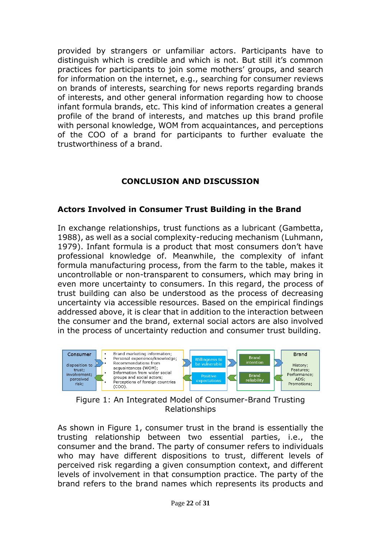provided by strangers or unfamiliar actors. Participants have to distinguish which is credible and which is not. But still it's common practices for participants to join some mothers' groups, and search for information on the internet, e.g., searching for consumer reviews on brands of interests, searching for news reports regarding brands of interests, and other general information regarding how to choose infant formula brands, etc. This kind of information creates a general profile of the brand of interests, and matches up this brand profile with personal knowledge, WOM from acquaintances, and perceptions of the COO of a brand for participants to further evaluate the trustworthiness of a brand.

# **CONCLUSION AND DISCUSSION**

#### **Actors Involved in Consumer Trust Building in the Brand**

In exchange relationships, trust functions as a lubricant (Gambetta, 1988), as well as a social complexity-reducing mechanism (Luhmann, 1979). Infant formula is a product that most consumers don't have professional knowledge of. Meanwhile, the complexity of infant formula manufacturing process, from the farm to the table, makes it uncontrollable or non-transparent to consumers, which may bring in even more uncertainty to consumers. In this regard, the process of trust building can also be understood as the process of decreasing uncertainty via accessible resources. Based on the empirical findings addressed above, it is clear that in addition to the interaction between the consumer and the brand, external social actors are also involved in the process of uncertainty reduction and consumer trust building.



Figure 1: An Integrated Model of Consumer-Brand Trusting Relationships

As shown in Figure 1, consumer trust in the brand is essentially the trusting relationship between two essential parties, i.e., the consumer and the brand. The party of consumer refers to individuals who may have different dispositions to trust, different levels of perceived risk regarding a given consumption context, and different levels of involvement in that consumption practice. The party of the brand refers to the brand names which represents its products and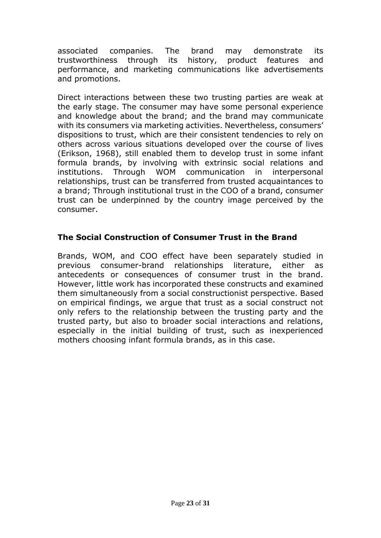associated companies. The brand may demonstrate its trustworthiness through its history, product features and performance, and marketing communications like advertisements and promotions.

Direct interactions between these two trusting parties are weak at the early stage. The consumer may have some personal experience and knowledge about the brand; and the brand may communicate with its consumers via marketing activities. Nevertheless, consumers' dispositions to trust, which are their consistent tendencies to rely on others across various situations developed over the course of lives (Erikson, 1968), still enabled them to develop trust in some infant formula brands, by involving with extrinsic social relations and institutions. Through WOM communication in interpersonal relationships, trust can be transferred from trusted acquaintances to a brand; Through institutional trust in the COO of a brand, consumer trust can be underpinned by the country image perceived by the consumer.

# **The Social Construction of Consumer Trust in the Brand**

Brands, WOM, and COO effect have been separately studied in previous consumer-brand relationships literature, either as antecedents or consequences of consumer trust in the brand. However, little work has incorporated these constructs and examined them simultaneously from a social constructionist perspective. Based on empirical findings, we argue that trust as a social construct not only refers to the relationship between the trusting party and the trusted party, but also to broader social interactions and relations, especially in the initial building of trust, such as inexperienced mothers choosing infant formula brands, as in this case.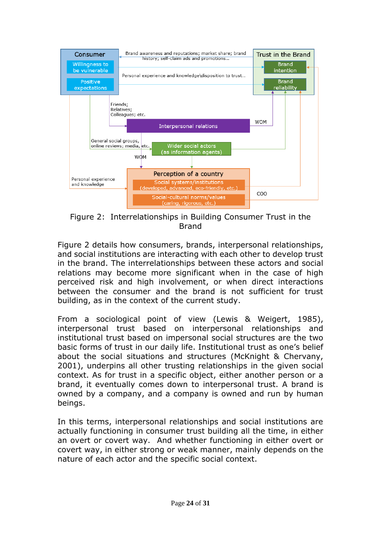

Figure 2: Interrelationships in Building Consumer Trust in the Brand

Figure 2 details how consumers, brands, interpersonal relationships, and social institutions are interacting with each other to develop trust in the brand. The interrelationships between these actors and social relations may become more significant when in the case of high perceived risk and high involvement, or when direct interactions between the consumer and the brand is not sufficient for trust building, as in the context of the current study.

From a sociological point of view (Lewis & Weigert, 1985), interpersonal trust based on interpersonal relationships and institutional trust based on impersonal social structures are the two basic forms of trust in our daily life. Institutional trust as one's belief about the social situations and structures (McKnight & Chervany, 2001), underpins all other trusting relationships in the given social context. As for trust in a specific object, either another person or a brand, it eventually comes down to interpersonal trust. A brand is owned by a company, and a company is owned and run by human beings.

In this terms, interpersonal relationships and social institutions are actually functioning in consumer trust building all the time, in either an overt or covert way. And whether functioning in either overt or covert way, in either strong or weak manner, mainly depends on the nature of each actor and the specific social context.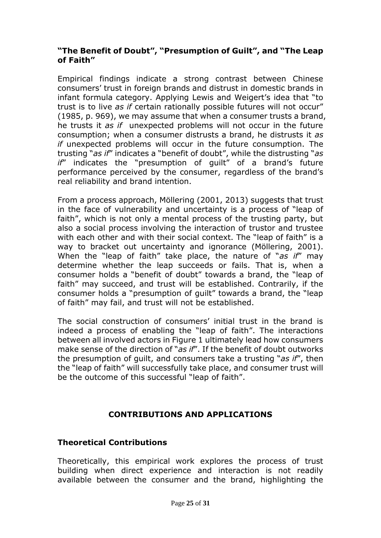## **"The Benefit of Doubt", "Presumption of Guilt", and "The Leap of Faith"**

Empirical findings indicate a strong contrast between Chinese consumers' trust in foreign brands and distrust in domestic brands in infant formula category. Applying Lewis and Weigert's idea that "to trust is to live *as if* certain rationally possible futures will not occur" (1985, p. 969), we may assume that when a consumer trusts a brand, he trusts it *as if* unexpected problems will not occur in the future consumption; when a consumer distrusts a brand, he distrusts it *as if* unexpected problems will occur in the future consumption. The trusting "*as if*" indicates a "benefit of doubt", while the distrusting "*as if*" indicates the "presumption of guilt" of a brand's future performance perceived by the consumer, regardless of the brand's real reliability and brand intention.

From a process approach, Möllering (2001, 2013) suggests that trust in the face of vulnerability and uncertainty is a process of "leap of faith", which is not only a mental process of the trusting party, but also a social process involving the interaction of trustor and trustee with each other and with their social context. The "leap of faith" is a way to bracket out uncertainty and ignorance (Möllering, 2001). When the "leap of faith" take place, the nature of "*as if*" may determine whether the leap succeeds or fails. That is, when a consumer holds a "benefit of doubt" towards a brand, the "leap of faith" may succeed, and trust will be established. Contrarily, if the consumer holds a "presumption of guilt" towards a brand, the "leap of faith" may fail, and trust will not be established.

The social construction of consumers' initial trust in the brand is indeed a process of enabling the "leap of faith". The interactions between all involved actors in Figure 1 ultimately lead how consumers make sense of the direction of "*as if*". If the benefit of doubt outworks the presumption of guilt, and consumers take a trusting "*as if*", then the "leap of faith" will successfully take place, and consumer trust will be the outcome of this successful "leap of faith".

# **CONTRIBUTIONS AND APPLICATIONS**

## **Theoretical Contributions**

Theoretically, this empirical work explores the process of trust building when direct experience and interaction is not readily available between the consumer and the brand, highlighting the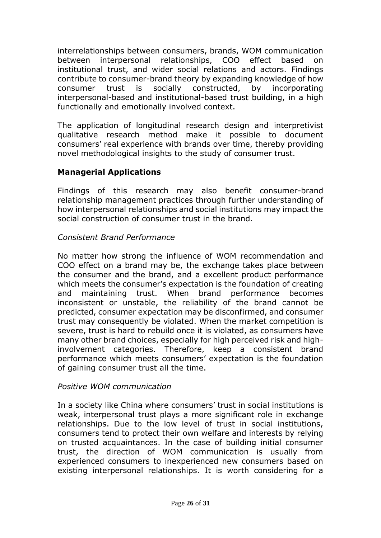interrelationships between consumers, brands, WOM communication between interpersonal relationships, COO effect based on institutional trust, and wider social relations and actors. Findings contribute to consumer-brand theory by expanding knowledge of how consumer trust is socially constructed, by incorporating interpersonal-based and institutional-based trust building, in a high functionally and emotionally involved context.

The application of longitudinal research design and interpretivist qualitative research method make it possible to document consumers' real experience with brands over time, thereby providing novel methodological insights to the study of consumer trust.

# **Managerial Applications**

Findings of this research may also benefit consumer-brand relationship management practices through further understanding of how interpersonal relationships and social institutions may impact the social construction of consumer trust in the brand.

## *Consistent Brand Performance*

No matter how strong the influence of WOM recommendation and COO effect on a brand may be, the exchange takes place between the consumer and the brand, and a excellent product performance which meets the consumer's expectation is the foundation of creating and maintaining trust. When brand performance becomes inconsistent or unstable, the reliability of the brand cannot be predicted, consumer expectation may be disconfirmed, and consumer trust may consequently be violated. When the market competition is severe, trust is hard to rebuild once it is violated, as consumers have many other brand choices, especially for high perceived risk and highinvolvement categories. Therefore, keep a consistent brand performance which meets consumers' expectation is the foundation of gaining consumer trust all the time.

#### *Positive WOM communication*

In a society like China where consumers' trust in social institutions is weak, interpersonal trust plays a more significant role in exchange relationships. Due to the low level of trust in social institutions, consumers tend to protect their own welfare and interests by relying on trusted acquaintances. In the case of building initial consumer trust, the direction of WOM communication is usually from experienced consumers to inexperienced new consumers based on existing interpersonal relationships. It is worth considering for a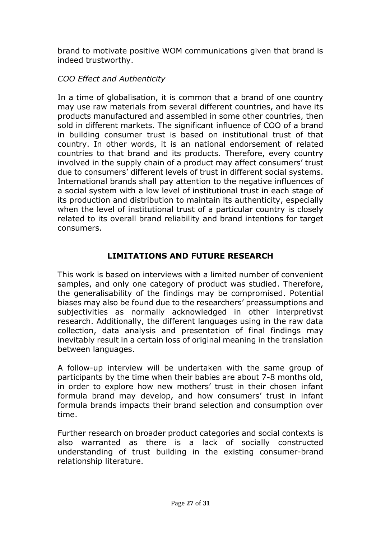brand to motivate positive WOM communications given that brand is indeed trustworthy.

## *COO Effect and Authenticity*

In a time of globalisation, it is common that a brand of one country may use raw materials from several different countries, and have its products manufactured and assembled in some other countries, then sold in different markets. The significant influence of COO of a brand in building consumer trust is based on institutional trust of that country. In other words, it is an national endorsement of related countries to that brand and its products. Therefore, every country involved in the supply chain of a product may affect consumers' trust due to consumers' different levels of trust in different social systems. International brands shall pay attention to the negative influences of a social system with a low level of institutional trust in each stage of its production and distribution to maintain its authenticity, especially when the level of institutional trust of a particular country is closely related to its overall brand reliability and brand intentions for target consumers.

# **LIMITATIONS AND FUTURE RESEARCH**

This work is based on interviews with a limited number of convenient samples, and only one category of product was studied. Therefore, the generalisability of the findings may be compromised. Potential biases may also be found due to the researchers' preassumptions and subjectivities as normally acknowledged in other interpretivst research. Additionally, the different languages using in the raw data collection, data analysis and presentation of final findings may inevitably result in a certain loss of original meaning in the translation between languages.

A follow-up interview will be undertaken with the same group of participants by the time when their babies are about 7-8 months old, in order to explore how new mothers' trust in their chosen infant formula brand may develop, and how consumers' trust in infant formula brands impacts their brand selection and consumption over time.

Further research on broader product categories and social contexts is also warranted as there is a lack of socially constructed understanding of trust building in the existing consumer-brand relationship literature.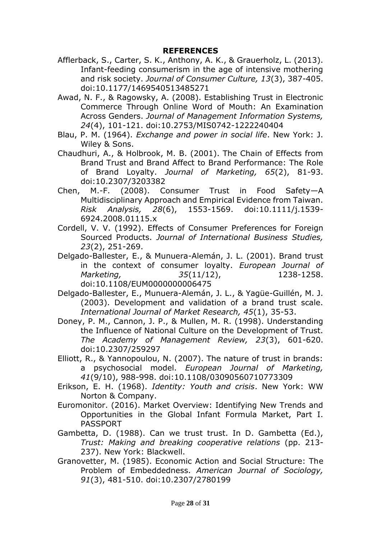#### **REFERENCES**

- Afflerback, S., Carter, S. K., Anthony, A. K., & Grauerholz, L. (2013). Infant-feeding consumerism in the age of intensive mothering and risk society. *Journal of Consumer Culture, 13*(3), 387-405. doi:10.1177/1469540513485271
- Awad, N. F., & Ragowsky, A. (2008). Establishing Trust in Electronic Commerce Through Online Word of Mouth: An Examination Across Genders. *Journal of Management Information Systems, 24*(4), 101-121. doi:10.2753/MIS0742-1222240404
- Blau, P. M. (1964). *Exchange and power in social life*. New York: J. Wiley & Sons.
- Chaudhuri, A., & Holbrook, M. B. (2001). The Chain of Effects from Brand Trust and Brand Affect to Brand Performance: The Role of Brand Loyalty. *Journal of Marketing, 65*(2), 81-93. doi:10.2307/3203382
- Chen, M.-F. (2008). Consumer Trust in Food Safety—A Multidisciplinary Approach and Empirical Evidence from Taiwan. *Risk Analysis, 28*(6), 1553-1569. doi:10.1111/j.1539- 6924.2008.01115.x
- Cordell, V. V. (1992). Effects of Consumer Preferences for Foreign Sourced Products. *Journal of International Business Studies, 23*(2), 251-269.
- Delgado-Ballester, E., & Munuera-Alemán, J. L. (2001). Brand trust in the context of consumer loyalty. *European Journal of Marketing, 35*(11/12), 1238-1258. doi:10.1108/EUM0000000006475
- Delgado-Ballester, E., Munuera-Alemán, J. L., & Yagüe-Guillén, M. J. (2003). Development and validation of a brand trust scale. *International Journal of Market Research, 45*(1), 35-53.
- Doney, P. M., Cannon, J. P., & Mullen, M. R. (1998). Understanding the Influence of National Culture on the Development of Trust. *The Academy of Management Review, 23*(3), 601-620. doi:10.2307/259297
- Elliott, R., & Yannopoulou, N. (2007). The nature of trust in brands: a psychosocial model. *European Journal of Marketing, 41*(9/10), 988-998. doi:10.1108/03090560710773309
- Erikson, E. H. (1968). *Identity: Youth and crisis*. New York: WW Norton & Company.
- Euromonitor. (2016). Market Overview: Identifying New Trends and Opportunities in the Global Infant Formula Market, Part I. PASSPORT
- Gambetta, D. (1988). Can we trust trust. In D. Gambetta (Ed.), *Trust: Making and breaking cooperative relations* (pp. 213- 237). New York: Blackwell.
- Granovetter, M. (1985). Economic Action and Social Structure: The Problem of Embeddedness. *American Journal of Sociology, 91*(3), 481-510. doi:10.2307/2780199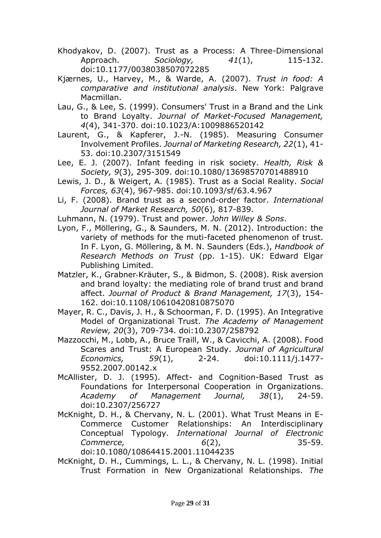- Khodyakov, D. (2007). Trust as a Process: A Three-Dimensional Approach. *Sociology, 41*(1), 115-132. doi:10.1177/0038038507072285
- Kjærnes, U., Harvey, M., & Warde, A. (2007). *Trust in food: A comparative and institutional analysis*. New York: Palgrave Macmillan.
- Lau, G., & Lee, S. (1999). Consumers' Trust in a Brand and the Link to Brand Loyalty. *Journal of Market-Focused Management, 4*(4), 341-370. doi:10.1023/A:1009886520142
- Laurent, G., & Kapferer, J.-N. (1985). Measuring Consumer Involvement Profiles. *Journal of Marketing Research, 22*(1), 41- 53. doi:10.2307/3151549
- Lee, E. J. (2007). Infant feeding in risk society. *Health, Risk & Society, 9*(3), 295-309. doi:10.1080/13698570701488910
- Lewis, J. D., & Weigert, A. (1985). Trust as a Social Reality. *Social Forces, 63*(4), 967-985. doi:10.1093/sf/63.4.967
- Li, F. (2008). Brand trust as a second-order factor. *International Journal of Market Research, 50*(6), 817-839.
- Luhmann, N. (1979). Trust and power. *John Willey & Sons*.
- Lyon, F., Möllering, G., & Saunders, M. N. (2012). Introduction: the variety of methods for the muti-faceted phenomenon of trust. In F. Lyon, G. Möllering, & M. N. Saunders (Eds.), *Handbook of Research Methods on Trust* (pp. 1-15). UK: Edward Elgar Publishing Limited.
- Matzler, K., Grabner‐Kräuter, S., & Bidmon, S. (2008). Risk aversion and brand loyalty: the mediating role of brand trust and brand affect. *Journal of Product & Brand Management, 17*(3), 154- 162. doi:10.1108/10610420810875070
- Mayer, R. C., Davis, J. H., & Schoorman, F. D. (1995). An Integrative Model of Organizational Trust. *The Academy of Management Review, 20*(3), 709-734. doi:10.2307/258792
- Mazzocchi, M., Lobb, A., Bruce Traill, W., & Cavicchi, A. (2008). Food Scares and Trust: A European Study. *Journal of Agricultural Economics, 59*(1), 2-24. doi:10.1111/j.1477- 9552.2007.00142.x
- McAllister, D. J. (1995). Affect- and Cognition-Based Trust as Foundations for Interpersonal Cooperation in Organizations. *Academy of Management Journal, 38*(1), 24-59. doi:10.2307/256727
- McKnight, D. H., & Chervany, N. L. (2001). What Trust Means in E-Commerce Customer Relationships: An Interdisciplinary Conceptual Typology. *International Journal of Electronic Commerce, 6*(2), 35-59. doi:10.1080/10864415.2001.11044235
- McKnight, D. H., Cummings, L. L., & Chervany, N. L. (1998). Initial Trust Formation in New Organizational Relationships. *The*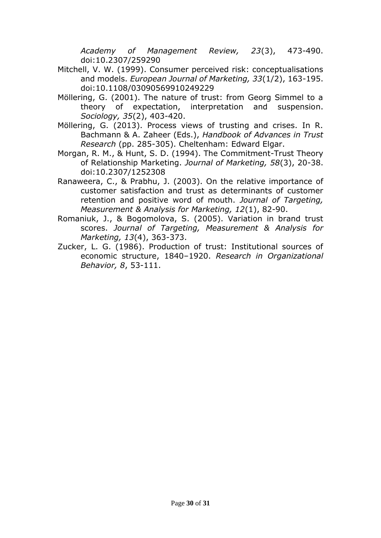*Academy of Management Review, 23*(3), 473-490. doi:10.2307/259290

- Mitchell, V. W. (1999). Consumer perceived risk: conceptualisations and models. *European Journal of Marketing, 33*(1/2), 163-195. doi:10.1108/03090569910249229
- Möllering, G. (2001). The nature of trust: from Georg Simmel to a theory of expectation, interpretation and suspension. *Sociology, 35*(2), 403-420.
- Möllering, G. (2013). Process views of trusting and crises. In R. Bachmann & A. Zaheer (Eds.), *Handbook of Advances in Trust Research* (pp. 285-305). Cheltenham: Edward Elgar.
- Morgan, R. M., & Hunt, S. D. (1994). The Commitment-Trust Theory of Relationship Marketing. *Journal of Marketing, 58*(3), 20-38. doi:10.2307/1252308
- Ranaweera, C., & Prabhu, J. (2003). On the relative importance of customer satisfaction and trust as determinants of customer retention and positive word of mouth. *Journal of Targeting, Measurement & Analysis for Marketing, 12*(1), 82-90.
- Romaniuk, J., & Bogomolova, S. (2005). Variation in brand trust scores. *Journal of Targeting, Measurement & Analysis for Marketing, 13*(4), 363-373.
- Zucker, L. G. (1986). Production of trust: Institutional sources of economic structure, 1840–1920. *Research in Organizational Behavior, 8*, 53-111.